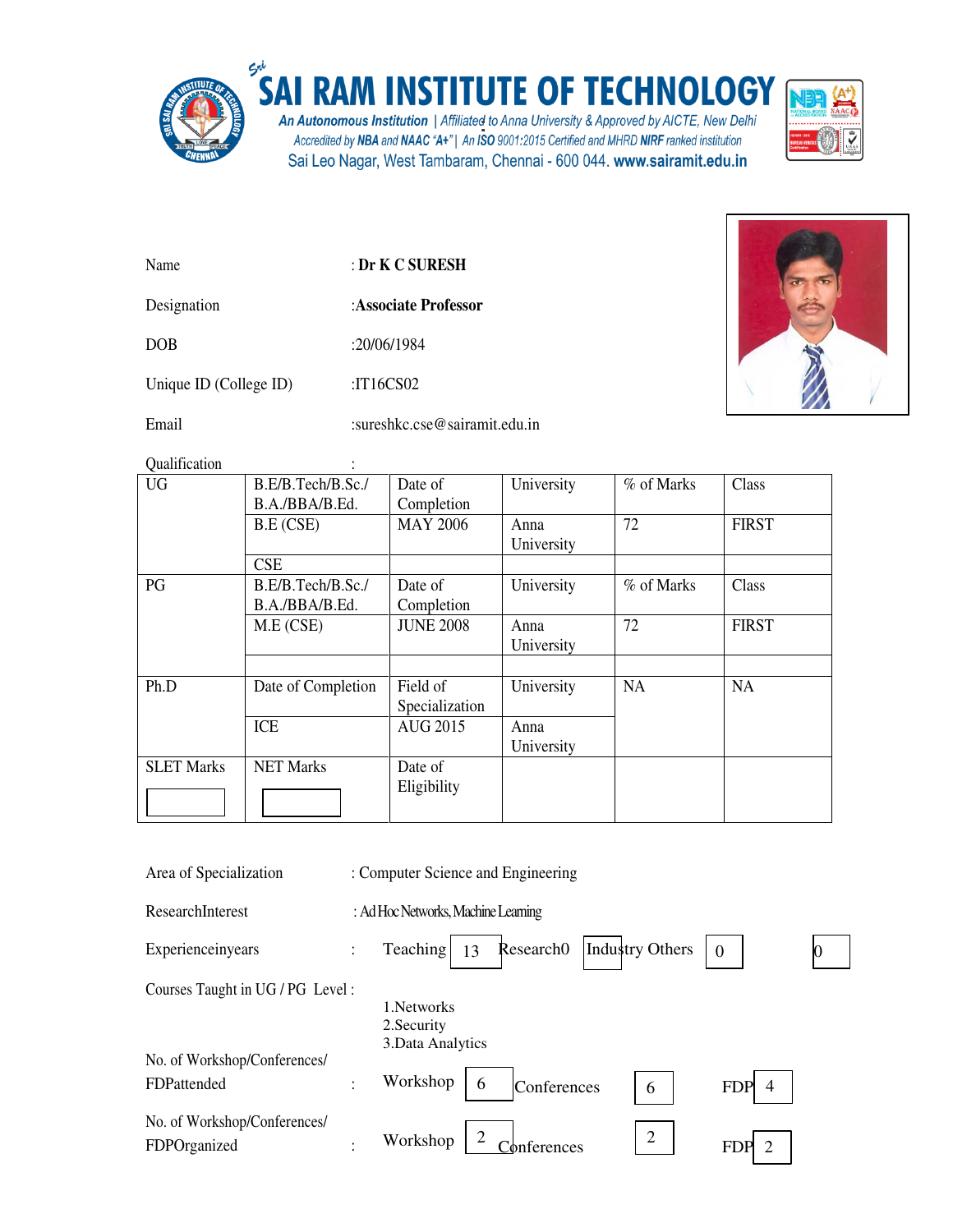

## SAI RAM INSTITUTE OF TECHNOLOGY

An Autonomous Institution | Affiliated to Anna University & Approved by AICTE, New Delhi<br>Accredited by NBA and NAAC "A+" | An ISO 9001:2015 Certified and MHRD NIRF ranked institution Sai Leo Nagar, West Tambaram, Chennai - 600 044. www.sairamit.edu.in



Name : **Dr K C SURESH**

Designation :**Associate Professor** 

DOB :20/06/1984

Unique ID (College ID) :IT16CS02

Email :sureshkc.cse@sairamit.edu.in

Qualification :

| 9 aannouwen       |                    |                  |            |            |              |
|-------------------|--------------------|------------------|------------|------------|--------------|
| <b>UG</b>         | B.E/B.Tech/B.Sc./  | Date of          | University | % of Marks | Class        |
|                   | B.A./BBA/B.Ed.     | Completion       |            |            |              |
|                   | B.E (CSE)          | <b>MAY 2006</b>  | Anna       | 72         | <b>FIRST</b> |
|                   |                    |                  | University |            |              |
|                   | <b>CSE</b>         |                  |            |            |              |
| PG                | B.E/B.Tech/B.Sc./  | Date of          | University | % of Marks | Class        |
|                   | B.A./BBA/B.Ed.     | Completion       |            |            |              |
|                   | M.E (CSE)          | <b>JUNE 2008</b> | Anna       | 72         | <b>FIRST</b> |
|                   |                    |                  | University |            |              |
|                   |                    |                  |            |            |              |
| Ph.D              | Date of Completion | Field of         | University | <b>NA</b>  | <b>NA</b>    |
|                   |                    | Specialization   |            |            |              |
|                   | <b>ICE</b>         | <b>AUG 2015</b>  | Anna       |            |              |
|                   |                    |                  | University |            |              |
| <b>SLET Marks</b> | <b>NET Marks</b>   | Date of          |            |            |              |
|                   |                    | Eligibility      |            |            |              |
|                   |                    |                  |            |            |              |

| Area of Specialization                       |                | : Computer Science and Engineering              |                 |                              |  |
|----------------------------------------------|----------------|-------------------------------------------------|-----------------|------------------------------|--|
| ResearchInterest                             |                | : Ad Hoc Networks, Machine Learning             |                 |                              |  |
| Experienceinyears                            | $\ddot{\cdot}$ | Research <sub>0</sub><br>Teaching  <br>13       | Industry Others | $\Omega$                     |  |
| Courses Taught in UG / PG Level:             |                | 1. Networks<br>2. Security<br>3. Data Analytics |                 |                              |  |
| No. of Workshop/Conferences/                 |                |                                                 |                 |                              |  |
| FDPattended                                  | ٠              | Workshop<br>6<br>Conferences                    | 6               | $\overline{4}$<br><b>FDP</b> |  |
| No. of Workshop/Conferences/<br>FDPOrganized | ٠              | Workshop<br>∑onferences                         | $\overline{2}$  | $\overline{2}$<br><b>FDP</b> |  |